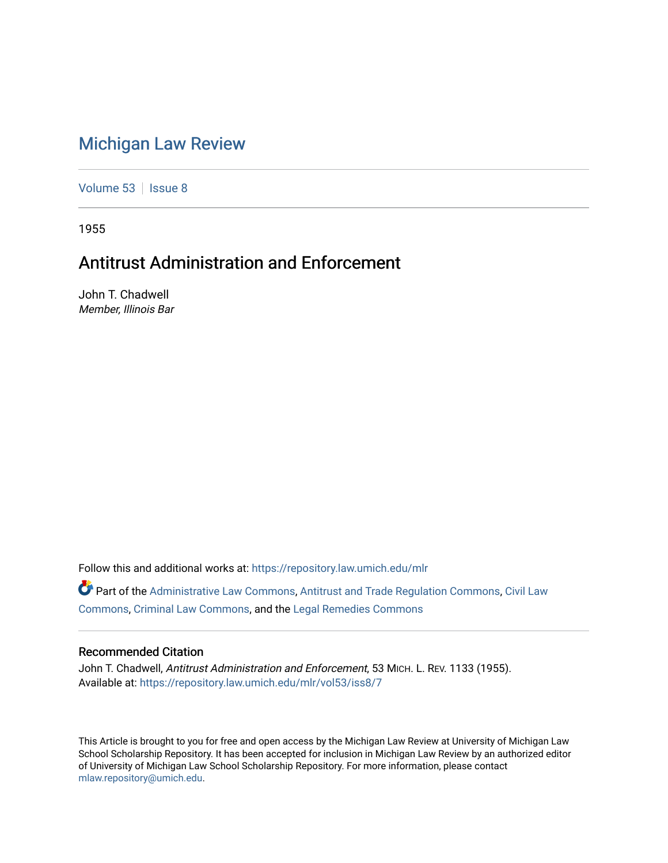# [Michigan Law Review](https://repository.law.umich.edu/mlr)

[Volume 53](https://repository.law.umich.edu/mlr/vol53) | [Issue 8](https://repository.law.umich.edu/mlr/vol53/iss8)

1955

# Antitrust Administration and Enforcement

John T. Chadwell Member, Illinois Bar

Follow this and additional works at: [https://repository.law.umich.edu/mlr](https://repository.law.umich.edu/mlr?utm_source=repository.law.umich.edu%2Fmlr%2Fvol53%2Fiss8%2F7&utm_medium=PDF&utm_campaign=PDFCoverPages) 

Part of the [Administrative Law Commons,](http://network.bepress.com/hgg/discipline/579?utm_source=repository.law.umich.edu%2Fmlr%2Fvol53%2Fiss8%2F7&utm_medium=PDF&utm_campaign=PDFCoverPages) [Antitrust and Trade Regulation Commons,](http://network.bepress.com/hgg/discipline/911?utm_source=repository.law.umich.edu%2Fmlr%2Fvol53%2Fiss8%2F7&utm_medium=PDF&utm_campaign=PDFCoverPages) [Civil Law](http://network.bepress.com/hgg/discipline/835?utm_source=repository.law.umich.edu%2Fmlr%2Fvol53%2Fiss8%2F7&utm_medium=PDF&utm_campaign=PDFCoverPages)  [Commons](http://network.bepress.com/hgg/discipline/835?utm_source=repository.law.umich.edu%2Fmlr%2Fvol53%2Fiss8%2F7&utm_medium=PDF&utm_campaign=PDFCoverPages), [Criminal Law Commons,](http://network.bepress.com/hgg/discipline/912?utm_source=repository.law.umich.edu%2Fmlr%2Fvol53%2Fiss8%2F7&utm_medium=PDF&utm_campaign=PDFCoverPages) and the [Legal Remedies Commons](http://network.bepress.com/hgg/discipline/618?utm_source=repository.law.umich.edu%2Fmlr%2Fvol53%2Fiss8%2F7&utm_medium=PDF&utm_campaign=PDFCoverPages)

## Recommended Citation

John T. Chadwell, Antitrust Administration and Enforcement, 53 MICH. L. REV. 1133 (1955). Available at: [https://repository.law.umich.edu/mlr/vol53/iss8/7](https://repository.law.umich.edu/mlr/vol53/iss8/7?utm_source=repository.law.umich.edu%2Fmlr%2Fvol53%2Fiss8%2F7&utm_medium=PDF&utm_campaign=PDFCoverPages)

This Article is brought to you for free and open access by the Michigan Law Review at University of Michigan Law School Scholarship Repository. It has been accepted for inclusion in Michigan Law Review by an authorized editor of University of Michigan Law School Scholarship Repository. For more information, please contact [mlaw.repository@umich.edu.](mailto:mlaw.repository@umich.edu)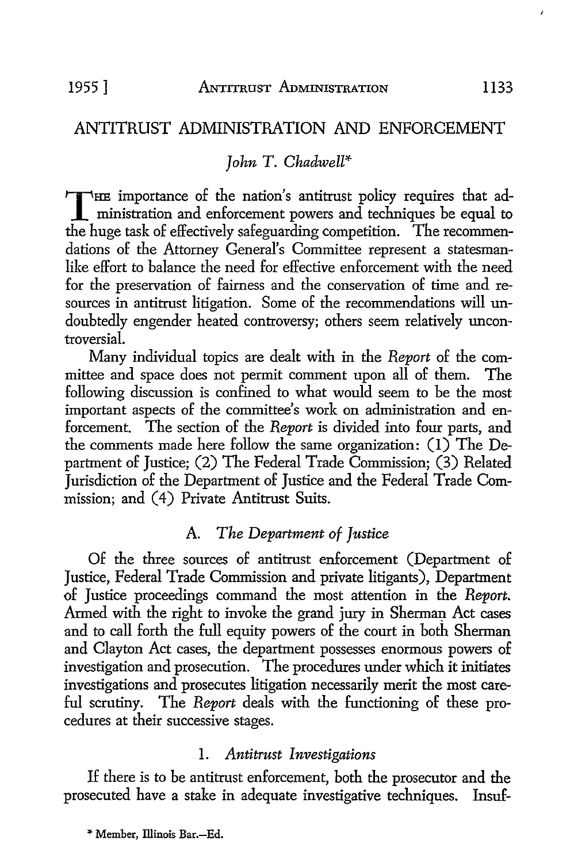# ANTITRUST ADMINISTRATION AND ENFORCEMENT

# *John T. Chadwell\**

THE importance of the nation's antitrust policy requires that ad-<br>ministration and enforcement powers and techniques be equal to<br>the buse teel of effectively especially communities. The recommon the huge task of effectively safeguarding competition. The recommendations of the Attorney General's Committee represent a statesmanlike effort *to* balance the need for effective enforcement with the need for the preservation of fairness and the conservation of time and resources in antitrust litigation. Some of the recommendations will undoubtedly engender heated controversy; others seem relatively uncontroversial.

Many individual topics are dealt with in the *Report* of the committee and space does not permit comment upon all of them. The following discussion is confined *to* what would seem *to* be the most important aspects of the committee's work on administration and enforcement. The section of the *Report* is divided into four parts, and the comments made here follow the same organization: (I) The Department of Justice; (2) The Federal Trade Commission; (3) Related Jurisdiction of the Department of Justice and the Federal Trade Commission; and (4) Private Antitrust Suits.

## A. *The Department of Justice*

Of the three sources of antitrust enforcement (Department of Justice, Federal Trade Commission and private litigants), Department of Justice proceedings command the most attention in the *Report.*  Armed with the right to invoke the grand jury in Sherman Act cases and *to* call forth the full equity powers of the court in both Sherman and Clayton Act cases, the department possesses enormous powers of investigation and prosecution. The procedures under which it initiates investigations and prosecutes litigation necessarily merit the most careful scrutiny. The *Report* deals with the functioning of these procedures at their successive stages.

#### I. *Antitrust Investigations*

If there is to be antitrust enforcement, both the prosecutor and the prosecuted have a stake in adequate investigative techniques. Insuf-

\* Member, Illinois Bar.-Ed.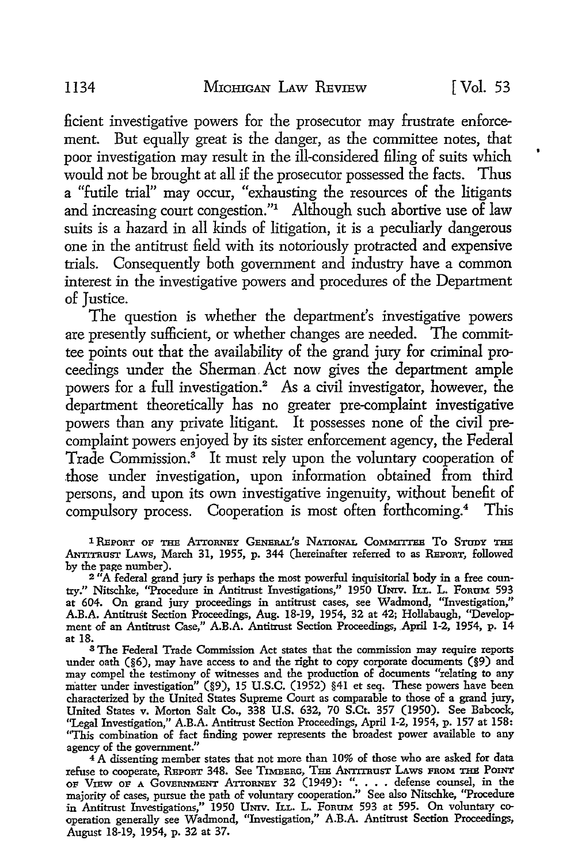ficient investigative powers for the prosecutor may frustrate enforcement. But equally great is the danger, as the committee notes, that poor investigation may result in the ill-considered filing of suits which would not be brought at all if the prosecutor possessed the facts. Thus a "futile trial" may occur, "exhausting the resources of the litigants and increasing court congestion."<sup>1</sup> Although such abortive use of law suits is a hazard in all kinds of litigation, it is a peculiarly dangerous one in the antitrust field with its notoriously protracted and expensive trials. Consequently both government and industry have a common interest in the investigative powers and procedures of the Department of Justice.

The question is whether the department's investigative powers are presently sufficient, or whether changes are needed. The committee points out that the availability of the grand jury for criminal proceedings under the Sherman, Act now gives the department ample powers for a full investigation.<sup>2</sup> As a civil investigator, however, the department theoretically has no greater pre-complaint investigative powers than any private litigant. It possesses none of the civil precomplaint powers enjoyed by its sister enforcement agency, the Federal Trade Commission.<sup>3</sup> It must rely upon the voluntary cooperation of .those under investigation, upon information obtained from third persons, and upon its own investigative ingenuity, without benefit of compulsory process. Cooperation is most often forthcoming.<sup>4</sup> This

<sup>1</sup> REPORT OF THE ATTORNEY GENERAL'S NATIONAL COMMITTEE TO STUDY THE ANTITRUST LAws, March 31, 1955, p. 344 (hereinafter referred to as REPORT, followed by the page number).

<sup>2</sup> "A federal grand jury is perhaps the most powerful inquisitorial body in a free country." Nitschke, "Procedure in Antitrust Investigations," 1950 UNIV. ILL. L. FoRUM 593 at 604. On grand jury proceedings in antitrust cases, see Wadmond, "Investigation," A.B.A. Antitrust Section Proceedings, Aug. 18-19, 1954, 32 at 42; Hollabaugh, "Development of an Antitrust Case," A.B.A. Antitrust Section Proceedings, April 1-2, 1954, p. 14 at 18.

<sup>8</sup>The Federal Trade Commission Act states that the commission may require reports under oath (§6), may have access to and the right to copy corporate documents (§9) and may compel the testimony of witnesses and the production of documents "relating to any matter under investigation" (§9), 15 U.S.C. (1952) §41 et seq. These powers have been characterized by the United States Supreme Court as comparable to those of a grand jury, United States v. Morton Salt Co., 338 U.S. 632, 70 S.Ct. 357 (1950). See Babcock, "Legal Investigation," A.B.A. Antitrust Section Proceedings, April 1-2, 1954, p. 157 at 158: "This combination of fact finding power represents the broadest power available to any agency of the government."

 $4^4$ A dissenting member states that not more than 10% of those who are asked for data refuse to cooperate, REPORT 348. See TIMBERG, THE ANTITRUST LAWS FROM THE POINT<br>OF VIEW OF A GOVERNMENT ATTORNEY 32 (1949): ". . . . defense counsel, in the<br>majority of cases, pursue the path of voluntary cooperation." See in Antitrust Investigations," 1950 UNIV. ILL. L. FoRuM 593 at 595. On voluntary cooperation generally see Wadmond, "Investigation," A.B.A. Antitrust Section Proceedings, August 18-19, 1954, p. 32 at 37.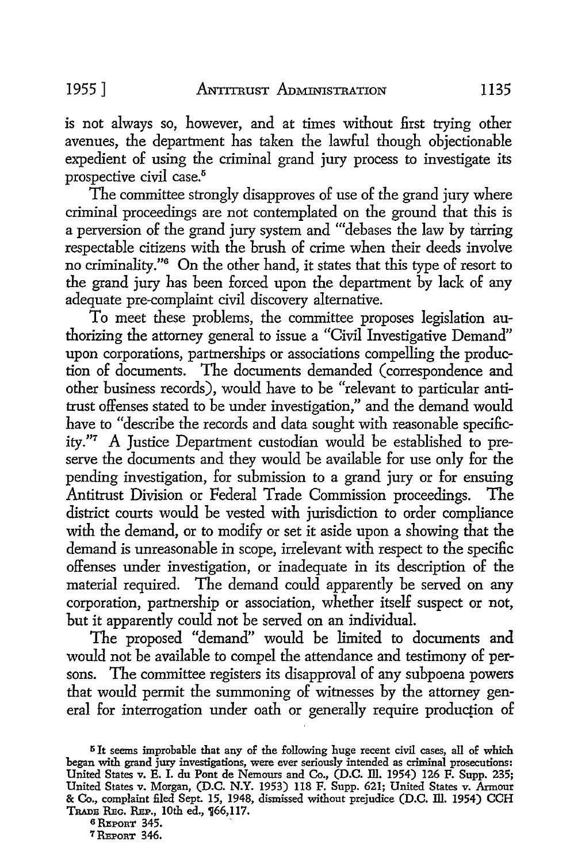is not always so, however, and at times without first trying other avenues, the department has taken the lawful though objectionable expedient of using the criminal grand jury process to investigate its prospective civil case.<sup>5</sup>

The committee strongly disapproves of use of the grand jury where criminal proceedings are not contemplated on the ground that this is a perversion of the grand jury system and "'debases the law by tarring respectable citizens with the brush of crime when their deeds involve no criminality."<sup>6</sup> On the other hand, it states that this type of resort to the grand jury has been forced upon the department by lack of any adequate pre-complaint civil discovery alternative.

To meet these problems, the committee proposes legislation authorizing the attorney general to issue a "Civil Investigative Demand" upon corporations, partnerships or associations compelling the production of documents. The documents demanded ( correspondence and other business records), would have to be "relevant to particular antitrust offenses stated to be under investigation," and the demand would have to "describe the records and data sought with reasonable specificity."7 A Justice Department custodian would be established to preserve the documents and they would be available for use only for the pending investigation, for submission to a grand jury or for ensuing Antitrust Division or Federal Trade Commission proceedings. The district courts would be vested with jurisdiction to order compliance with the demand, or to modify or set it aside upon a showing that the demand is unreasonable in scope, irrelevant with respect to the specific offenses under investigation, or inadequate in its description of the material required. The demand could apparently be served on any corporation, partnership or association, whether itself suspect or not, but it apparently could not be served on an individual.

The proposed "demand" would be limited to documents and would not be available to compel the attendance and testimony of persons. The committee registers its disapproval of any subpoena powers that would permit the summoning of witnesses by the attorney general for interrogation under oath or generally require production of

<sup>6</sup> REPORT 345.

<sup>7</sup> REPORT 346.

<sup>5</sup>It seems improbable that any of the following huge recent civil cases, all of which began with grand jury investigations, were ever seriously intended as criminal prosecutions: United States v. E. I. du Pont de Nemours and Co., (D.C. ill. 1954) 126 F. Supp. 235; United States v. Morgan, (D.C. N.Y. 1953) 118 F. Supp. 621; United States v. Armour & Co., complaint filed Sept. 15, 1948, dismissed without prejudice (D.C. Ill. 1954) CCH TRADE REG. REP., 10th ed., 166,117.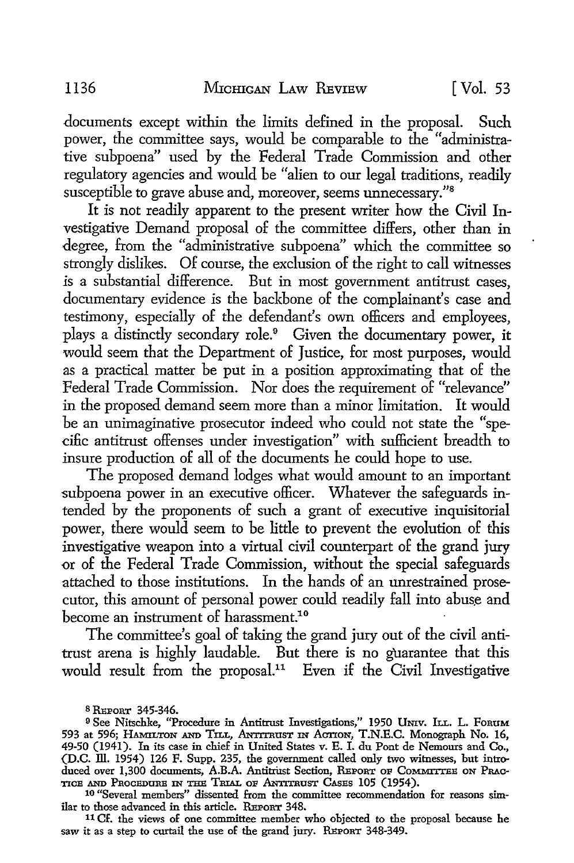documents except within the limits defined in the proposal. Such power, the committee says, would be comparable to the "administrative subpoena" used by the Federal Trade Commission and other regulatory agencies and would be "alien to our legal traditions, readily susceptible to grave abuse and, moreover, seems unnecessary."<sup>8</sup>

It is not readily apparent to the present writer how the Civil Investigative Demand proposal of the committee differs, other than in degree, from the "administrative subpoena" which the committee so strongly dislikes. Of course, the exclusion of the right to call witnesses is a substantial difference. But in most government antitrust cases, documentary evidence is the backbone of the complainant's case and testimony, especially of the defendant's own officers and employees, plays a distinctly secondary role.<sup>9</sup> Given the documentary power, it would seem that the Department of Justice, for most purposes, would as a practical matter be put in a position approximating that of the Federal Trade Commission. Nor does the requirement of "relevance" in the proposed demand seem more than a minor limitation. It would be an unimaginative prosecutor indeed who could not state the "specific antitrust offenses under jnvestigation" with sufficient breadth to insure production of all of the documents he could hope to use.

The proposed demand lodges what would amount to an important subpoena power in an executive officer. Whatever the safeguards intended by the proponents of such a grant of executive inquisitorial power, there would seem to be little to prevent the evolution of this investigative weapon into a virtual civil counterpart of the grand jury or of the Federal Trade Commission, without the special safeguards attached to those institutions. In the hands of an unrestrained prosecutor, this amount of personal power could readily fall into abuse and become an instrument of harassment.<sup>10</sup>

The committee's goal of taking the grand jury out of the civil antitrust arena is highly laudable. But there is no guarantee that this would result from the proposal.<sup>11</sup> Even if the Civil Investigative

s REPORT 345-346.

9 See Nitschke, "Procedure in Antitrust Investigations," 1950 Univ. ILL. L. FORUM 593 at 596; HAMILTON AND TILL, ANTrrnuST IN ACTION, T.N.E.C. Monograph No. 16, 49-50 (1941). In its case in chief in United States v. E. I. du Pont de Nemours and Co., (D.C. ill. 1954) 126 F. Supp. 235, the government called only two witnesses, but introduced over 1,300 documents, A.B.A. Antitrust Section, REPORT OF COMMITTEE ON PRAC-TICE AND PROCEDURE IN THE TRIAL OF ANTITRUST CASES 105 (1954).

10 Theometical members" dissented from the committee recommendation for reasons similar to those advanced in this article. REPORT 348.

11 Cf. the views of one committee member who objected to the proposal because he saw it as a step to curtail the use of the grand jury. REPORT 348-349.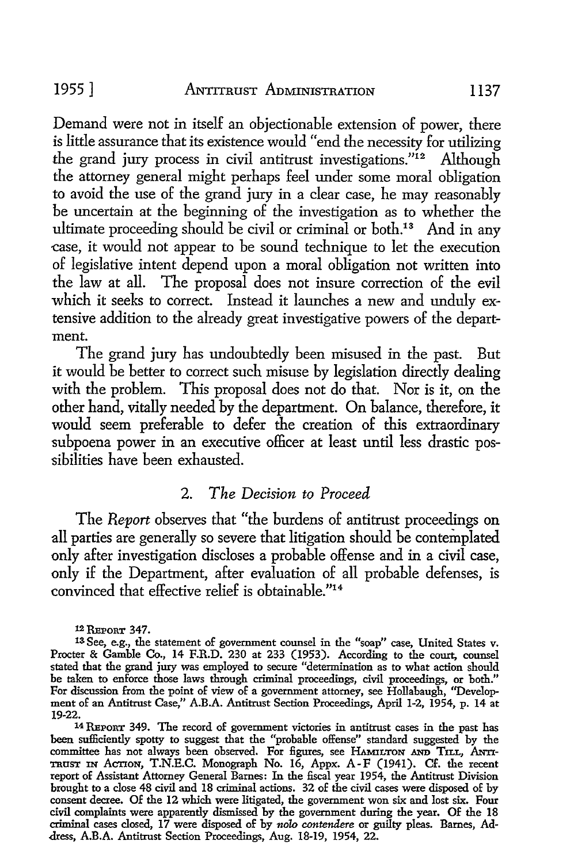Demand were not in itself an objectionable extension of power, there is little assurance that its existence would "end the necessity for utilizing the grand jury process in civil antitrust investigations."12 Although the attorney general might perhaps feel under some moral obligation to avoid the use of the grand jury in a clear case, he may reasonably be uncertain at the beginning of the investigation as to whether the ultimate proceeding should be civil or criminal or both.<sup>13</sup> And in any -case, it would not appear to be sound technique to let the execution of legislative intent depend upon a moral obligation not written into the law at all. The proposal does not insure correction of the evil which it seeks to correct. Instead it launches a new and unduly extensive addition to the already great investigative powers of the department.

The grand jury has undoubtedly been misused in the past. But it would be better to correct such misuse by legislation directly dealing with the problem. This proposal does not do that. Nor is it, on the other hand, vitally needed by the department. On balance, therefore, it would seem preferable to defer the creation of this extraordinary subpoena power in an executive officer at least until less drastic possibilities have been exhausted.

## 2. *The Decision to Proceed*

The *Report* observes that "the burdens of antitrust proceedings on all parties are generally so severe that litigation should be contemplated. only after investigation discloses a probable offense and in a civil case, only if the Department, after evaluation of all probable defenses, is convinced that effective relief is obtainable."<sup>14</sup>

12 REPORT 347.

14 REPORT 349. The record of government victories in antitrust cases in the past has been sufficiently spotty to suggest that the "probable offense" standard suggested by the committee has not always been observed. For figures, see HAMILTON AND TILL, ANTI-TRUST IN ACTION, T.N.E.C. Monograph No. 16, Appx. A-F (1941). Cf. the recent report of Assistant Attorney General Barnes: In the fiscal year 1954, the Antitrust Division brought to a close 48 civil and 18 criminal actions. 32 of the civil cases were disposed of by consent decree. Of the 12 which were litigated, the government won six and lost six. Four civil complaints were apparently dismissed by the government during the year. Of the 18 criminal cases closed, 17 were disposed of by *nolo contendere* or guilty pleas. Barnes, Address, A.B.A. Antitrust Section Proceedings, Aug. 18-19, 1954, 22.

<sup>13</sup> See, e.g., the statement of government counsel in the "soap" case, United States v. Procter & Gamble Co., 14 F.R.D. 230 at 233 (1953). According to the court, counsel stated that the grand jury was employed to secure "determination as to what action should be taken to enforce those laws through criminal proceedings, civil proceedings, or both." For discussion from the point of view of a government attorney, see Hollabaugh, ''Development of an Antitrust Case," A.B.A. Antitrust Section Proceedings, April 1-2, 1954, p. 14 at 19-22.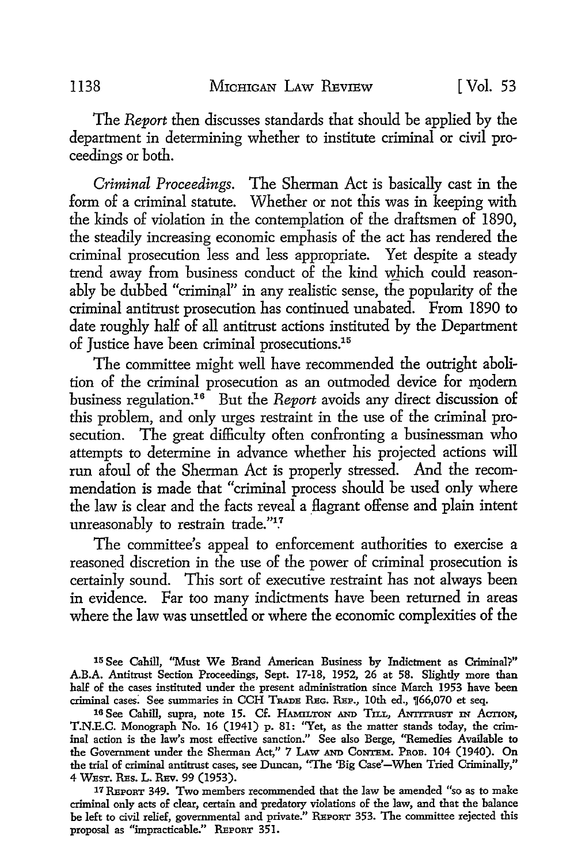The *Report* then discusses standards that should be applied by the department in determining whether to institute criminal or civil proceedings or both.

*Criminal Proceedings.* The Sherman Act is basically cast in the form of a criminal statute. Whether or not this was in keeping with the kinds of violation in the contemplation of the draftsmen of 1890, the steadily increasing economic emphasis of the act has rendered the criminal prosecution less and less appropriate. Yet despite a steady trend away from business conduct of the kind which could reasonably be dubbed "criminal" in any realistic sense, the popularity of the criminal antitrust prosecution has continued unabated. From 1890 to date roughly half of all antitrust actions instituted by the Department of Justice have been criminal prosecutions.15

The committee might well have recommended the outright abolition of the criminal prosecution as an outmoded device for modern business regulation.<sup>16</sup> But the *Report* avoids any direct discussion of this problem, and only urges restraint in the use of the criminal prosecution. The great difficulty often confronting a businessman who attempts to determine in advance whether his projected actions will run afoul of the Sherman Act is properly stressed. And the recommendation is made that "criminal process should be used only where the law is clear and the facts reveal a flagrant offense and plain intent unreasonably to restrain trade."<sup>17</sup>

The committee's appeal to enforcement authorities to exercise a reasoned discretion in the use of the power of criminal prosecution is certainly sound. This sort of executive restraint has not always been in evidence. Far too many indictments have been returned in areas where the law was unsettled or where the economic complexities of the

15 See Cahill, ''Must We Brand American Business by Indictment as Criminal?" A.B.A. Antitrust Section Proceedings, Sept. 17-18, 1952, 26 at 58. Slightly more than half of the cases instituted under the present administration since March 1953 have been criminal cases. See summaries in CCH TRADE REG. REP., 10th ed., 166,070 et seq.

16 See Cahill, supra, note 15. Cf. HAMILTON AND TILL, ANTITRUST IN ACTION, T.N.E.C. Monograph No. 16 (1941) p. 81: "Yet, as the matter stands today, the criminal action is the law's most effective sanction." See also Berge, "Remedies Available to the Government under the Sherman Act," 7 I.Aw AND CoNTEM. Pnon. 104 (1940). On the trial of criminal antitrust cases, see Duncan, "The 'Big Case'-When Tried Criminally," 4 WEsT. REs. L. REv. 99 (1953).

17 REPORT 349. Two members recommended that the law be amended "so as to make criminal only acts of clear, certain and predatory violations of the law, and that the balance be left to civil relief, governmental and private." REPORT 353. The committee rejected this proposal as "impracticable." REPORT 351.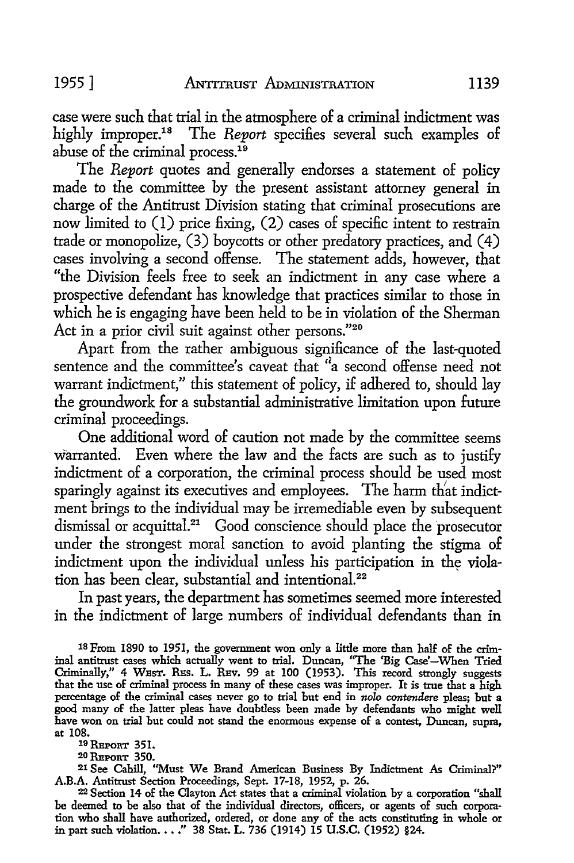case were such that trial in the atmosphere of a criminal indictment was highly improper.<sup>18</sup> The *Report* specifies several such examples of abuse of the criminal process.<sup>19</sup>

The *Report* quotes and generally endorses a statement of policy made to the committee by the present assistant attorney general in charge of the Antitrust Division stating that criminal prosecutions are now limited to (1) price fixing, (2) cases of specific intent to restrain trade or monopolize,  $(3)$  boycotts or other predatory practices, and  $(4)$ cases involving a second offense. The statement adds, however, that "the Division feels free to seek an indictment in any case where a prospective defendant has knowledge that practices similar to those in which he is engaging have been held to be in violation of the Sherman Act in a prior civil suit against other persons."<sup>20</sup>

Apart from the rather ambiguous significance of the last-quoted sentence and the committee's caveat that "a second offense need not warrant indictment," this statement of policy, if adhered to, should lay the groundwork for a substantial administrative limitation upon future criminal proceedings.

One additional word of caution not made by the committee seems warranted. Even where the law and the facts are such as to justify indictment of a corporation, the criminal process should be used most sparingly against its executives and employees. The harm that indictment brings to the individual may be irremediable even by subsequent dismissal or acquittal.<sup>21</sup> Good conscience should place the prosecutor under the strongest moral sanction to avoid planting the stigma of indictment upon the individual unless his participation in the violation has been clear, substantial and intentional.<sup>22</sup>

In past years, the department has sometimes seemed more interested in the indictment of large numbers of individual defendants than in

18 From 1890 to 1951, the government won only a little more than half of the criminal antitrust cases which actually went to trial. Duncan, "The 'Big Case'-When Tried Criminally," 4 WEST. RES. L. REV. 99 at 100 (1953). This record strongly suggests that the use of criminal process in many of these cases was improper. It is true that a high percentage of the criminal cases never go to trial but end in *nolo rontendere* pleas; but a good many of the latter pleas have doubtless been made by defendants who might well have won on trial but could not stand the enormous expense of a contest, Duncan, supra, at 108.

19 REPORT 351.

20 REPORT 350.

21 See Cahill, "Must We Brand American Business By Indictment As Criminal'?" A.B.A. Antitrust Section Proceedings, Sept. 17-18, 1952, p. 26.

22 Section 14 of the Clayton Act states that a criminal violation by a corporation "shall be deemed to be also that of the individual directors, officers, or agents of such corpora· tion who shall have authorized, ordered, or done any of the acts constituting in whole or in part such violation •••• " 38 Stat. L. 736 (1914) 15 U.S.C. (1952) §24.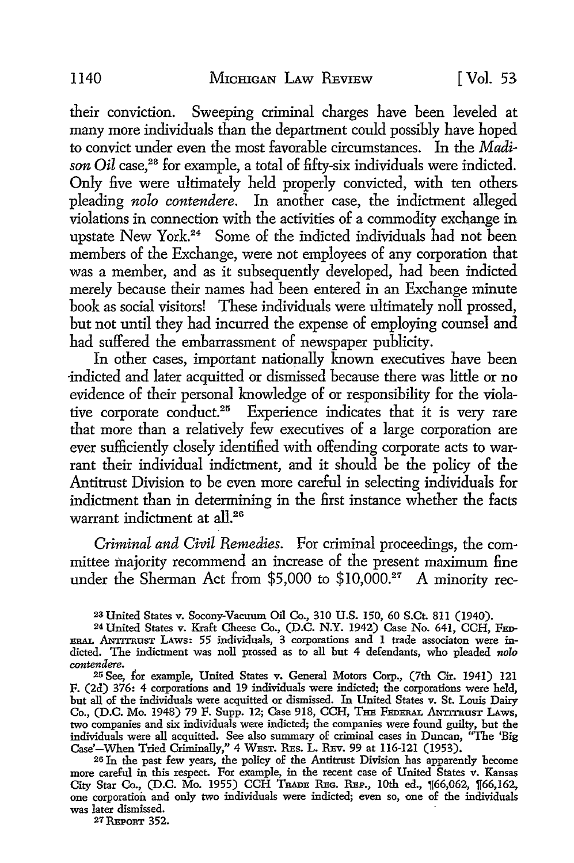their conviction. Sweeping criminal charges have been leveled at many more individuals than the department could possibly have hoped to convict under even the most favorable circumstances. In the *Madi*son Oil case,<sup>23</sup> for example, a total of fifty-six individuals were indicted. Only five were ultimately held properly convicted, with ten others pleading *nolo contendere.* In another case, the indictment alleged violations in connection with the activities of a commodity exchange in upstate New York.<sup>24</sup> Some of the indicted individuals had not been members of the Exchange, were not employees of any corporation that was a member, and as it subsequently developed, had been indicted merely because their names had been entered in an Exchange minute book as social visitors! These individuals were ultimately noll prossed, but not until they had incurred the expense of employing counsel and had suffered the embarrassment of newspaper publicity.

In other cases, important nationally known executives have been -indicted and later acquitted or dismissed because there was little or no evidence of their personal knowledge of or responsibility for the violative corporate conduct.25 Experience indicates that it is very rare that more than a relatively few executives of a large corporation are ever sufficiently closely identified with offending corporate acts to warrant their individual indictment, and it should be the policy of the Antitrust Division to be even more careful in selecting individuals for indictment than in determining in the first instance whether the facts warrant indictment at all.<sup>26</sup>

*Criminal and Civil Remedies.* For criminal proceedings, the committee majority recommend an increase of the present maximum fine under the Sherman Act from \$5,000 to \$10,000.<sup>27</sup> A minority rec-

2s United States v. Socony-Vacuum Oil Co., 310 U.S. 150, 60 S.Ct. 8ll (1940).

24United States v. Kraft Cheese Co., (D.C. N.Y. 1942) Case No. 641, CCH, FED- $_{\tt ERAL}$  ANTITRUST LAWS: 55 individuals, 3 corporations and 1 trade associaton were indicted. The indictment was noll prossed as to all hut 4 defendants, who pleaded *nolo contendere.* 

25 See, for example, United States v. General Motors Corp., (7th Cir. 1941) 121 F. (2d) 376: 4 corporations and 19 individuals were indicted; the corporations were held, hut all of the individuals were acquitted or dismissed. In United States v. St. Louis Dairy Co., (D.C. Mo. 1948) 79 F. Supp. 12; Case 918, CCH, THE FEDERAL ANTITRUST LAWS, two companies and six individuals were indicted; the companies were found guilty, hut the individuals were all acquitted. See also summary of criminal cases in Duncan, "The 'Big Case'-When Tried Criminally," 4 WEsT. REs. L. REv. 99 at 116-121 (1953).

26 In the past few years, the policy of the Antitrust Division has apparently become more careful in this respect. For example, in the recent case of United States v. Kansas City Star Co., (D.C. Mo. 1955) CCH Trade Reg. Reg., 10th ed., 166,062, 166,162, one corporation and only two individuals were indicted; even so, one of the individuals was later dismissed.

27 REPORT 352.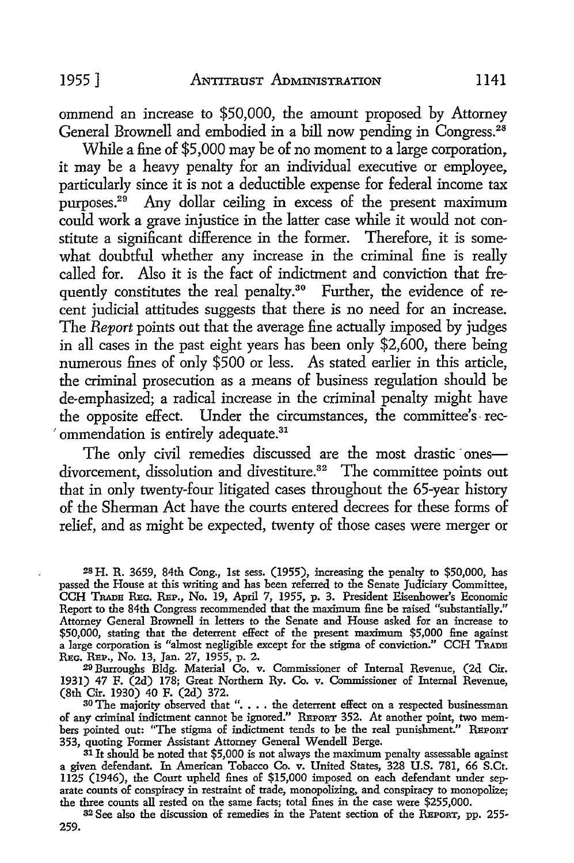ommend an increase to \$50,000, the amount proposed by Attorney General Brownell and embodied in a bill now pending in Congress.<sup>28</sup>

While a fine of \$5,000 may be of no moment to a large corporation. it may be a heavy penalty for an individual executive or employee. particularly since it is not a deductible expense for federal income tax purposes.<sup>29</sup> Any dollar ceiling in excess of the present maximum could work a grave injustice in the latter case while it would not constitute a significant difference in the former. Therefore, it is somewhat doubtful whether any increase in the criminal fine is really called for. Also it is the fact of indictment and conviction that frequently constitutes the real penalty.<sup>30</sup> Further, the evidence of recent judicial attitudes suggests that there is no need for an increase. The *Report* points out that the average fine actually imposed by judges in all cases in the past eight years has been only \$2,600, there being numerous fines of only \$500 or less. As stated earlier in this article, the criminal prosecution as a means of business regulation should be de-emphasized; a radical increase in the criminal penalty might have the opposite effect. Under the circumstances, the committee's- rec-<sup>2</sup> ommendation is entirely adequate.<sup>31</sup>

The only civil remedies discussed are the most drastic onesdivorcement, dissolution and divestiture.<sup>32</sup> The committee points out that in only twenty-four litigated cases throughout the 65-year history of the Sherman Act have the courts entered decrees for these forms of relief, and as might be expected, twenty of those cases were merger or

28 H. R. 3659, 84th Cong., 1st sess. (1955), increasing the penalty to \$50,000, has passed the House at this writing and has been referred to the Senate Judiciary Committee, CCH TRADB REc. REP., No. 19, April 7, 1955, p. 3. President Eisenhower's Economic Report to the 84th Congress recommended that the maximum fine be raised "substantially." Attorney General Brownell in letters to the Senate and House asked for an increase to \$50,000, stating that the deterrent effect of the present maximum \$5,000 fine against a large corporation is "almost negligible except for the stigma of conviction." CCH TRADB REc. REP., No. 13, Jan. 27, 1955, p. 2.

29 Burroughs Bldg. Material Co. v. Commissioner of Internal Revenue, (2d Cir. 1931) 47 F. (2d) 178; Great Northern Ry. Co. v. Commissioner of Internal Revenue, (8th Cir. 1930) 40 F. (2d) 372.

 $30$  The majority observed that ". . . . the deterrent effect on a respected businessman of any criminal indictment cannot be ignored." REPORT 352. At another point, two members pointed out: "The stigma of indictment tends to be the real punishment." REPORT 353, quoting Former Assistant Attorney General Wendell Berge.

 $31$  It should be noted that \$5,000 is not always the maximum penalty assessable against a given defendant. In American Tobacco Co. v. United States, 328 U.S. 781, 66 S.Ct. 1125 (1946), the Court upheld fines of \$15,000 imposed on each defendant under separate counts of conspiracy in restraint of trade, monopolizing, and conspiracy to monopolize; the three counts all rested on the same facts; total fines in the case were \$255,000.

32 See also the discussion of remedies in the Patent section of the REPORT, pp. 255- 259.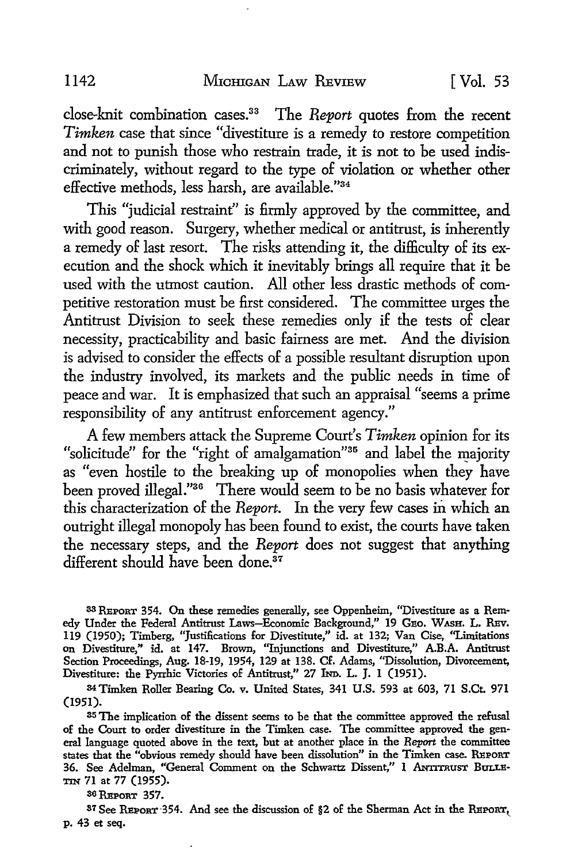close-knit combination cases.33 The *Report* quotes from the recent *Timken* case that since "divestiture is a remedy to restore competition and not to punish those who restrain trade, it is not to be used indiscriminately, without regard to the type of violation or whether other effective methods, less harsh, are available."34

This "judicial restraint" is firmly approved by the committee, and with good reason. Surgery, whether medical or antitrust, is inherently a remedy of last resort. The risks attending it, the difficulty of its execution and the shock which it inevitably brings all require that it be used with the utmost caution. All other less drastic methods of competitive restoration must be first considered. The committee urges the Antitrust Division to seek these remedies only if the tests of clear necessity, practicability and basic fairness are met. And the division is advised to consider the effects of a possible resultant disruption upon the industry involved, its markets and the public needs in time of peace and war. It is emphasized that such an appraisal "seems a prime responsibility of any antitrust enforcement agency."

A few members attack the Supreme Court's *Timken* opinion for its "solicitude" for the "right of amalgamation"<sup>35</sup> and label the maiority as "even hostile to the breaking up of monopolies when they have been proved illegal."36 There would seem to be no basis whatever for this characterization of the *Report.* In the very few cases in which an outright illegal monopoly has been found to exist, the courts have taken the necessary steps, and the *Report* does not suggest that anything different should have been done.<sup>37</sup>

33 REPORT 354. On these remedies generally, see Oppenheim, "Divestiture as a Rem• edy Under the Federal Antitrust Laws-Economic Background,'' 19 GEo. WASH. L. REv. 119 (1950); Timberg, "Justifications for Divestitute,'' id. at 132; Van Cise, "Limitations on Divestiture," id. at 147. Brown, ''Injunctions and Divestiture,'' A.B.A. Antitrust Section Proceedings, Aug. 18-19, 1954, 129 at 138. Cf. Adams, "Dissolution, Divorcement, Divestiture: the Pyrrhic Victories of Antitrust," 27 IND. L. J. 1 (1951).

34 Timken Roller Bearing Co. v. United States, 341 U.S. 593 at 603, 71 S.Ct. 971 (1951).

<sup>35</sup>The implication of the dissent seems to be that the committee approved the refusal of the Court to order divestiture in the Timken case. The committee approved the general language quoted above in the text, but at another place in the *Report* the committee states that the "obvious remedy should have been dissolution" in the Timken case. REPORT 36. See Adelman, "General Comment on the Schwartz Dissent," I ANTITRUST BULLE-TIN 71 at 77 (1955).

36REPORT 357.

37 See REPORT 354. And see the discussion of §2 of the Sherman Act in the REPORT, p. 43 et seq.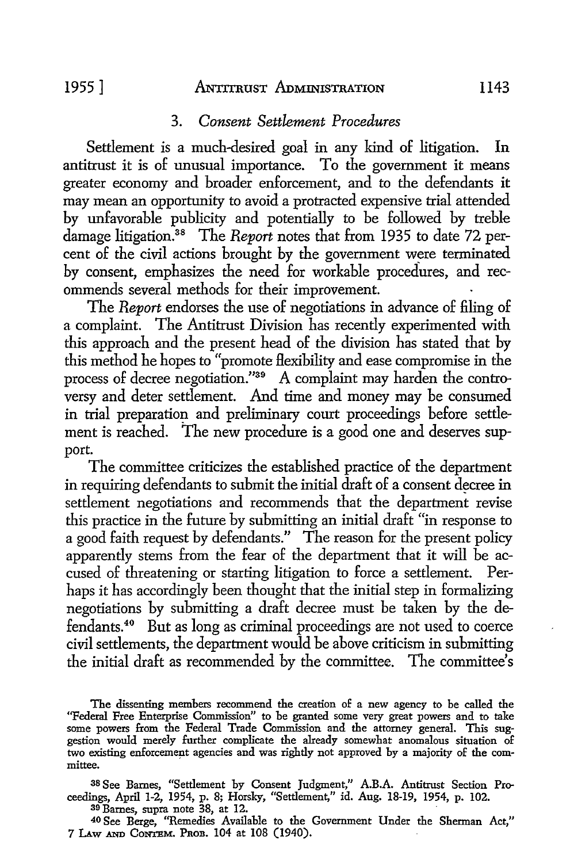#### 1955 ] ANTITRUST ADMINISTRATION 1143

## 3. *Consent Settlement Procedures*

Settlement is a much-desired goal in any kind of litigation. In antitrust it is of unusual importance. To the government it means greater economy and broader enforcement, and to the defendants it may mean an opportunity to avoid a protracted expensive trial attended by unfavorable publicity and potentially to be followed by treble damage litigation.38 The *Report* notes that from 1935 to date 72 percent of the civil actions brought by the government were terminated by consent, emphasizes the need for workable procedures, and recommends several methods for their improvement.

The *Report* endorses the use of negotiations in advance of filing of a complaint. The Antitrust Division has recently experimented with this approach and the present head of the division has stated that by this method he hopes to "promote Hexibility and ease compromise in the process of decree negotiation."39 A complaint may harden the controversy and deter settlement. And time and money may be consumed in trial preparation and preliminary court proceedings before settlement is reached. The new procedure is a good one and deserves support.

The committee criticizes the established practice of the department in requiring defendants to submit the initial draft of a consent decree in settlement negotiations and recommends that the department revise this practice in the future by submitting an initial draft "in response to a good faith request by defendants." The reason for the present policy apparently stems from the fear of the department that it will be accused of threatening or starting litigation to force a settlement. Perhaps it has accordingly been thought that the initial step in formalizing negotiations by submitting a draft decree must be taken by the defendants. 40 But as long as criminal proceedings are not used to coerce civil settlements, the department would be above criticism in submitting the initial draft as recommended by the committee. The committee's

The dissenting members recommend the creation of a new agency to be called the "Federal Free Enterprise Commission" to be granted some very great powers and to take some powers from the Federal Trade Commission and the attorney general. This suggestion would merely further complicate the already somewhat anomalous situation of two existing enforcement agencies and was rightly not approved by a majority of the committee.

38 See Barnes, "Settlement by Consent Judgment,'' AB.A. Antitrust Section Proceedings, April 1-2, 1954, p. 8; Horsky, "Settlement," id. Aug. 18-19, 1954, p. 102.

<sup>39</sup>Barnes, supra note 38, at 12.

40 See Berge, ''Remedies Available to the Government Under the Sherman Act,'' 7 LAW AND CONTEM. PROB. 104 at 108 (1940).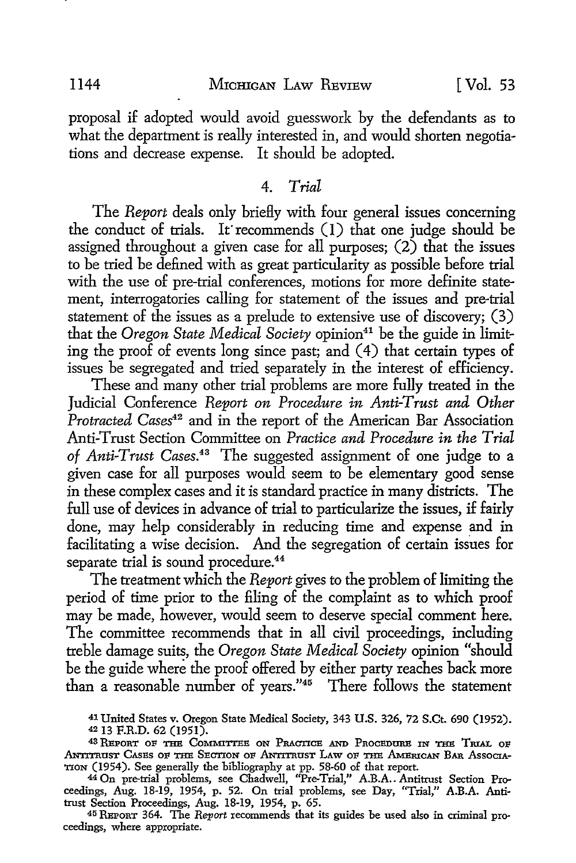#### 1144 MICHIGAN LAW REVIEW [Vol. 53

proposal if adopted would avoid guesswork by the defendants as to what the department is really interested in, and would shorten negotiations and decrease expense. It should be adopted.

#### 4. *Trial*

The *Report* deals only briefly with four general issues concerning the conduct of trials. It' recommends (I) that one judge should be assigned throughout a given case for all purposes; (2) that the issues to be tried be defined with as great particularity as possible before trial with the use of pre-trial conferences, motions for more definite statement, interrogatories calling for statement of the issues and pre-trial statement of the issues as a prelude to extensive use of discovery; (3) that the *Oregon State Medical Society* opinion<sup>41</sup> be the guide in limiting the proof of events long since past; and (4) that certain types of issues be segregated and tried separately in the interest of efficiency.

These and many other trial problems are more fully treated in the Judicial Conference *Report on Procedure in Anti-Trust and Other*  Protracted Cases<sup>42</sup> and in the report of the American Bar Association Anti-Trust Section Committee on *Practice and Procedure in the Trial of Anti-Trust* Cases.<sup>43</sup>The suggested assignment of one judge to a given case for all purposes would seem to be elementary good sense in these complex cases and it is standard practice in many districts. The full use of devices in advance of trial to particularize the issues, if fairly done, may help considerably in reducing time and expense and in facilitating a wise decision. And the segregation of certain issues for separate trial is sound procedure.<sup>44</sup>

The treatment which the *Report* gives to the problem of limiting the period of time prior to the filing of the complaint as to which proof may be made, however, would seem to deserve special comment here. The committee recommends that in all civil proceedings, including treble damage suits, the *Oregon State Medical Society* opinion "should be the guide where the proof offered by either party reaches back more than a reasonable number of years."45 There follows the statement

41 United States v. Oregon State Medical Society, 343 U.S. 326, 72 S.Ct. 690 (1952). <sup>42</sup>13 F.R.D. 62 (1951).

43 REPORT OF THE COMMITTEE ON PRACTICE AND PROCEDURE IN THE TRIAL OF ANTITRUST CASES OF THE SECTION OF ANTITRUST LAW OF THE AMERICAN BAR ASSOCIA-TION (1954). See generally the bibliography at pp. 58-60 of that report.

44 On pre-trial problems, see Chadwell, "Pre-Trial," A.B.A.. Antitrust Section Proceedings, Aug. 18-19, 1954, p. 52. On trial problems, see Day, "Trial,'' A.B.A. Antitrust Section Proceedings, Aug. 18-19, 1954, p. 65.

45 REPORT 364. The *Report* recommends that its guides be used also in criminal proceedings, where appropriate.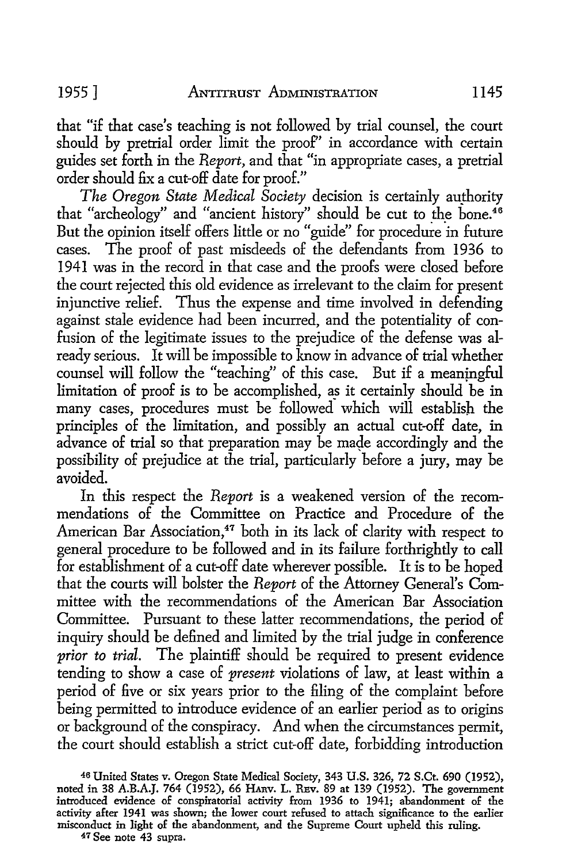that "if that case's teaching is not followed by trial counsel, the court should by pretrial order limit the proof" in accordance with certain guides set forth in the *Report,* and that "in appropriate cases, a pretrial order should fix a cut-off date for proof."

*The Oregon State Medical Society decision is certainly authority* that "archeology" and "ancient history" should be cut to the bone. $46$ But the opinion itself offers little or no "guide" for procedure in future cases. The proof of past misdeeds of the defendants from 1936 to 1941 was in the record in that case and the proofs were closed before the court rejected this old evidence as irrelevant to the claim for present injunctive relief. Thus the expense and time involved in defending against stale evidence had been incurred, and the potentiality of confusion of the legitimate issues to the prejudice of the defense was already serious. It will be impossible to know in advance of trial whether counsel will follow the "teaching" of this case. But if a meanjngful limitation of proof is to be accomplished, as it certainly should be in many cases, procedures must be followed which will establish the principles of the limitation, and possibly an actual cut-off date, in advance of trial so that preparation may be made accordingly and the possibility of prejudice at the trial, particularly before a jury, may be avoided.

In this respect the *Report* is a weakened version of the recommendations of the Committee on Practice and Procedure of the American Bar Association,<sup>47</sup> both in its lack of clarity with respect to general procedure to be followed and in its failure forthrightly to call for establishment of a cut-off date wherever possible. It is to be hoped that the courts will bolster the *Report* of the Attorney General's Committee with the recommendations of the American Bar Association Committee. Pursuant to these latter recommendations, the period of inquiry should be defined and limited by the trial judge in conference *prior to trial.* The plaintiff should be required to present evidence tending to show a case of *present* violations of law, at least within a period of five or six years prior to the filing of the complaint before being permitted to introduce evidence of an earlier period as to origins or background of the conspiracy. And when the circumstances permit, the court should establish a strict cut-off date, forbidding introduction

46 United States v. Oregon State Medical Society, 343 U.S. 326, 72 S.Ct. 690 (1952), noted in 38 A.B.A.J. 764 (1952), 66 Hanv. L. REv. 89 at 139 (1952). The government introduced evidence of conspiratorial activity from 1936 to 1941; abandonment of the activity after 1941 was shown; the lower court refused to attach significance to the earlier misconduct in light of the abandonment, and the Supreme Court upheld this ruling.

47 See note 43 supra.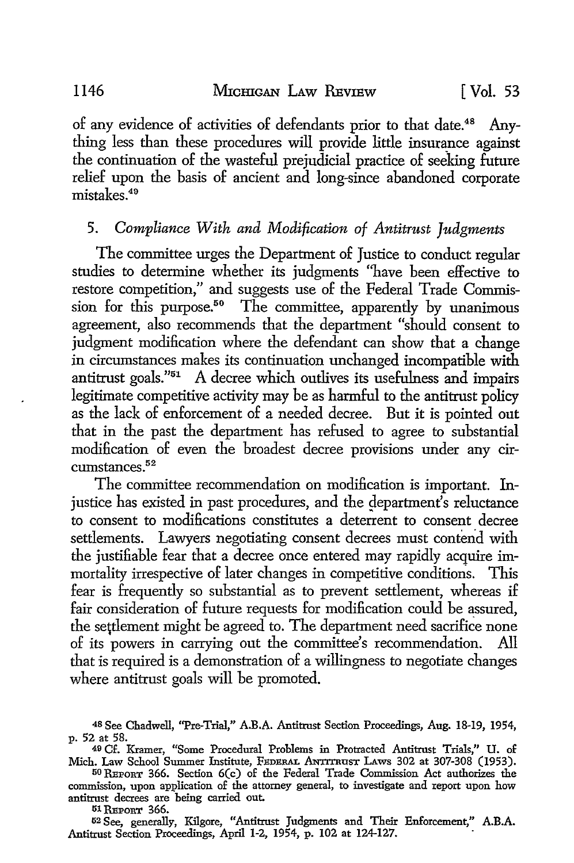of any evidence of activities of defendants prior to that date.48 Anything less than these procedures will provide little insurance against the continuation of the wasteful prejudicial practice of seeking future relief upon the basis of ancient and long-since abandoned corporate mistakes. 49

## 5. Compliance With and Modification of Antitrust Judgments

The committee urges the Department of Justice to conduct regular studies to determine whether its judgments "have been effective to restore competition," and suggests use of the Federal Trade Commission for this purpose.<sup>50</sup> The committee, apparently by unanimous agreement, also recommends that the department "should consent to judgment modification where the defendant can show that a change in circumstances makes its continuation unchanged incompatible with antitrust goals."51 A decree which outlives its usefulness and impairs legitimate competitive activity may be as harmful to the antitrust policy as the lack of enforcement of a needed decree. But it is pointed out that in the past the department has refused to agree to substantial modification of even the broadest decree provisions under any circumstances.<sup>52</sup>

The committee recommendation on modification is important. Injustice has existed in past procedures, and the department's reluctance to consent to modifications constitutes a deterrent to consent decree settlements. Lawyers negotiating consent decrees must contend with the justifiable fear that a decree once entered may rapidly acquire immortality irrespective of later changes in competitive conditions. This fear is frequently so substantial as to prevent settlement, whereas if fair consideration of future requests for modification could be assured, the settlement might be agreed to. The department need sacrifice none of its powers in carrying out the committee's recommendation. All that is required is a demonstration of a willingness to negotiate changes where antitrust goals will be promoted.

51 REPORT 366.

52 See, generally, Kilgore, "Antitrust Judgments and Their Enforcement,'' **A.B.A.**  Antitrust Section Proceedings, April 1-2, 1954, p. 102 at 124-127.

<sup>48</sup>See Chadwell, ''Pre-Trial,'' A.B.A. Antitrust Section Proceedings, Aug. 18-19, 1954, p. 52 at 58.

<sup>49</sup> Cf. Kramer, "Some Procedural Problems in Protracted Antitrust Trials,'' U. of Mich. Law School Summer Institute, FEDERAL ANTITRUST LAws 302 at 307-308 (1953).

<sup>50</sup> REPORT 366. Section 6(c) of the Federal Trade Commission Act authorizes the commission, upon application of the attorney general, to investigate and report upon how antitrust decrees are being carried out.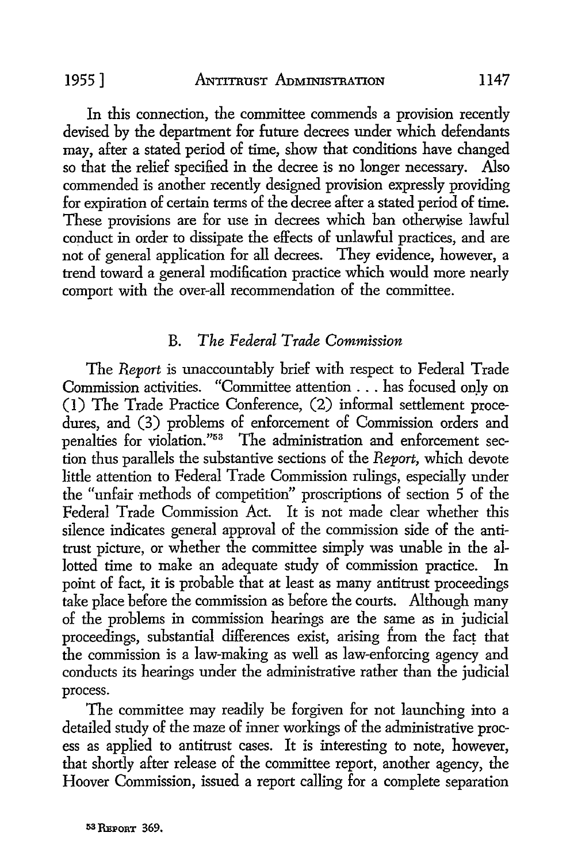In this connection, the committee commends a provision recently devised by the department for future decrees under which defendants may, after a stated period of time, show that conditions have changed so that the relief specified in the decree is no longer necessary. Also commended is another recently designed provision expressly providing for expiration of certain terms of the decree after a stated period of time. These provisions are for use in decrees which ban otherwise lawful conduct in order to dissipate the effects of unlawful practices, and are not of general application for all decrees. They evidence, however, a trend toward a general modification practice which would more nearly comport with the over-all recommendation of the committee.

# B. *The Federal Trade Commission*

The *Report* is unaccountably brief with respect to Federal Trade Commission activities. "Committee attention . . . has focused onJy on (1) The Trade Practice Conference, (2) informal settlement procedures, and (3) problems of enforcement of Commission orders and penalties for violation."53 The administration and enforcement section thus parallels the substantive sections of the *Report,* which devote little attention to Federal Trade Commission rulings, especially under the "unfair methods of competition" proscriptions of section 5 of the Federal Trade Commission Act. It is not made clear whether this silence indicates general approval of the commission side of the antitrust picture, or whether the committee simply was unable in the allotted time to make an adequate study of commission practice. In point of fact, it is probable that at least as many antitrust proceedings take place before the commission as before the courts. Although many of the problems in commission hearings are the same as in judicial proceedings, substantial differences exist, arising from the fact that the commission is a law-making as well as law-enforcing agency and conducts its hearings under the administrative rather than the judicial process.

The committee may readily be forgiven for not launching into a detailed study of the maze of inner workings of the administrative process as applied to antitrust cases. It is interesting to note, however, that shortly after release of the committee report, another agency, the Hoover Commission, issued a report calling for a complete separation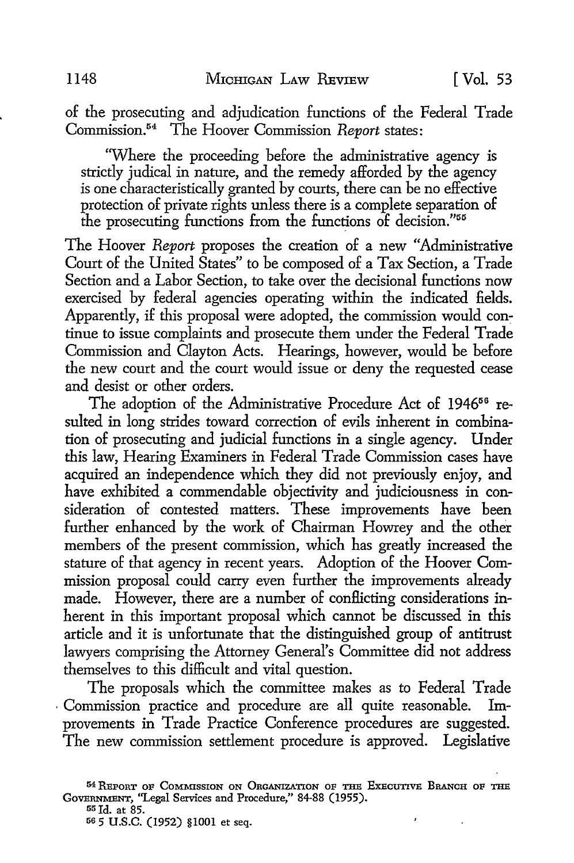of the prosecuting and adjudication functions of the Federal Trade Commission. 54 The Hoover Commission *Report* states:

'Where the proceeding before the administrative agency is strictly judical in nature, and the remedy afforded by the agency is one characteristically granted by courts, there can be no effective protection of private rights unless there is a complete separation of the prosecuting functions from the functions of decision."<sup>55</sup>

The Hoover *Report* proposes the creation of a new "Administrative Court of the United States" to be composed of a Tax Section, a Trade Section and a Labor Section, to take over the decisional functions now exercised by federal agencies operating within the indicated fields. Apparently, if this proposal were adopted, the commission would continue to issue complaints and prosecute them under the Federal Trade Commission and Clayton Acts. Hearings, however, would be before the new court and the court would issue or deny the requested cease and desist or other orders.

The adoption of the Administrative Procedure Act of 1946<sup>56</sup> resulted in long strides toward correction of evils inherent in combination of prosecuting and judicial functions in a single agency. Under this law, Hearing Examiners in Federal Trade Commission cases have acquired an independence which they did not previously enjoy, and have exhibited a commendable objectivity and judiciousness in consideration of contested matters. These improvements have been further enhanced by the work of Chairman Howrey and the other members of the present commission, which has greatly increased the stature of that agency in recent years. Adoption of the Hoover Commission proposal could carry even further the improvements already made. However, there are a number of conflicting considerations inherent in this important proposal which cannot be discussed in this article and it is unfortunate that the distinguished group of antitrust lawyers comprising the Attorney General's Committee did not address themselves to this difficult and vital question.

The proposals which the committee makes as to Federal Trade . Commission practice and procedure are all quite reasonable. Improvements in Trade Practice Conference procedures are suggested. The new commission settlement procedure is approved. Legislative

 $\pmb{\cdot}$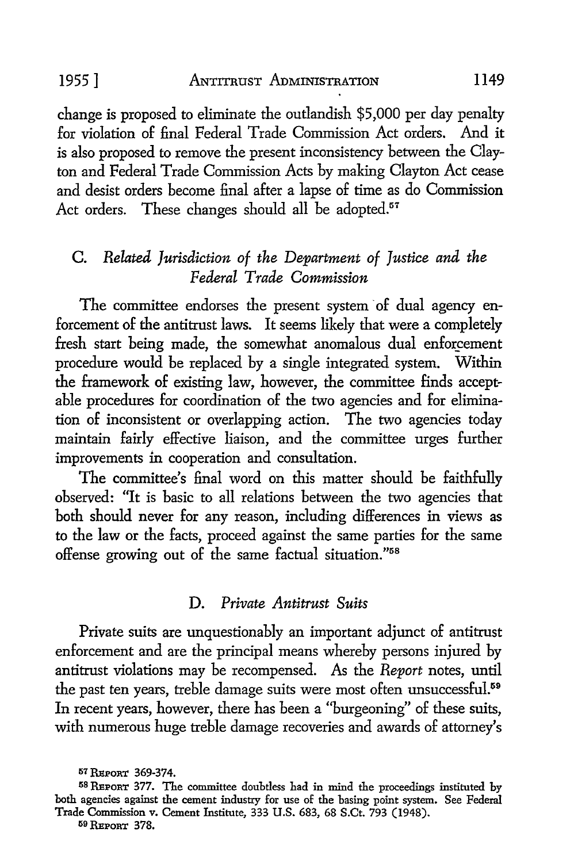change is proposed to eliminate the outlandish \$5,000 per day penalty for violation of final Federal Trade Commission Act orders. And it is also proposed to remove the present inconsistency between the Clayton and Federal Trade Commission Acts by making Clayton Act cease and desist orders become final after a lapse of time as do Commission Act orders. These changes should all be adopted.<sup>57</sup>

# C. *Related Jurisdiction of the Department of Justice and the Federal Trade Commission*

The committee endorses the present system of dual agency enforcement of the antitrust laws. It seems likely that were a completely fresh start being made, the somewhat anomalous dual enforcement procedure would be replaced by a single integrated system. Within the framework of existing law, however, the committee finds acceptable procedures for coordination of the two agencies and for elimination of inconsistent or overlapping action. The two agencies today maintain fairly effective liaison, and the committee urges further improvements in cooperation and consultation.

The committee's final word on this matter should be faithfully observed: "It is basic to all relations between the two agencies that both should never for any reason, including differences in views as to the law or the facts, proceed against the same parties for the same offense growing out of the same factual situation."58

## D. *Private Antitrust Suits*

Private suits are unquestionably an important adjunct of antitrust enforcement and are the principal means whereby persons injured by antitrust violations may be recompensed. As the *Report* notes, until the past ten years, treble damage suits were most often unsuccessful.<sup>59</sup> In recent years, however, there has been a "burgeoning" of these suits, with numerous huge treble damage recoveries and awards of attorney's

59 REPORT 378.

<sup>57</sup> REPORT 369-374.<br><sup>58</sup> REPORT 377. The committee doubtless had in mind the proceedings instituted by both agencies against the cement industry for use of the basing point system. See Federal Trade Commission v. Cement Institute, 333 U.S. 683, 68 S.Ct. 793 (1948).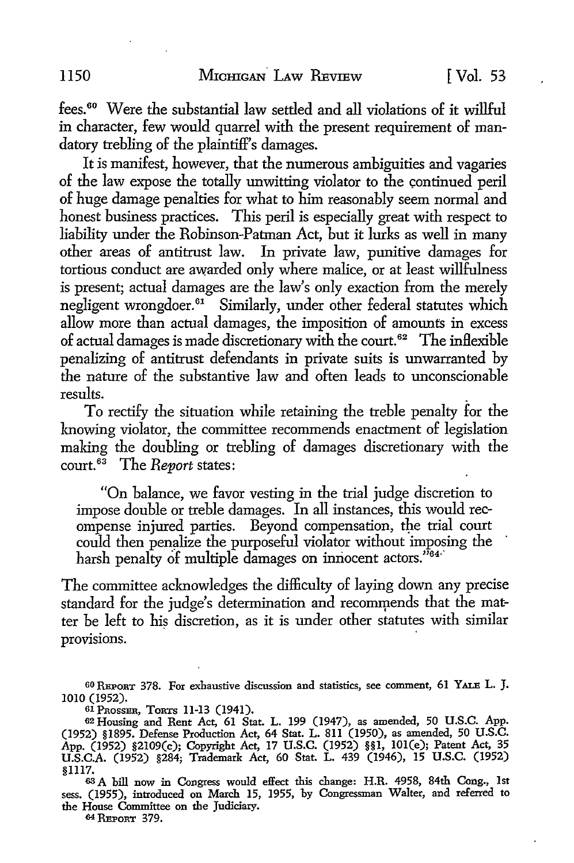fees. 60 Were the substantial law settled and all violations of it willful in character, few would quarrel with the present requirement of mandatory trebling of the plaintiff's damages.

It is manifest, however, that the numerous ambiguities and vagaries of the law expose the totally unwitting violator to the continued peril of huge damage penalties for what to him reasonably seem normal and honest business practices. This peril is especially great with respect to liability under the Robinson-Patman Act, but it lurks as well in many other areas of antitrust law. In private law, punitive damages for tortious conduct are awarded only where malice, or at least willfulness is present; actual damages are the law's only exaction from the merely negligent wrongdoer.<sup>61</sup> Similarly, under other federal statutes which allow more than actual damages, the imposition of amounts in excess of actual damages is made discretionary with the court. 62 The inflexible penalizing of antitrust defendants in private suits is unwarranted by the nature of the substantive law and often leads to unconscionable results. .

To rectify the situation while retaining the treble penalty for the knowing violator, the committee recommends enactment of legislation making the doubling or trebling of damages discretionary with the court. 63 The *Report* states:

"On balance, we favor vesting in the trial judge discretion to impose double or treble damages. In all instances, this would recompense injured parties. Beyond compensation, the trial court could then penalize the purposeful violator without imposing the harsh penalty of multiple damages on innocent actors."<sup>64</sup>

The committee acknowledges the difficulty of laying down any precise standard for the judge's determination and recommends that the matter be left to his discretion, as it is under other statutes with similar provisions.

64 REPORT 379.

<sup>60</sup> REPORT 378. For exhaustive discussion and statistics, see comment, 61 YALE L. J. 1010 (1952).<br>61 PROSSER, TORTS 11-13 (1941).

<sup>&</sup>lt;sup>61</sup> Prosser, Tor.rs 11-13 (1941).<br><sup>62</sup> Housing and Rent Act, 61 Stat. L. 199 (1947), as amended, 50 U.S.C. App. (1952) §1895. Defense Production Act, 64 Stat. L. 811 (1950), as amended, 50 U.S.C. App. (1952) §2109(c); Copyright Act, 17 U.S.C. (1952) §§1, IOI(e); Patent Act, 35 U.S.C.A. (1952) §284; Trademark Act, 60 Stat. L. 439 (1946), 15 U.S.C. (1952) §1117.

<sup>63</sup> A bill now in Congress would effect this change: H.R. 4958, 84th Cong., 1st sess. (1955), introduced on March 15, 1955, by Congressman Walter, and referred to the House Committee on the Judiciary.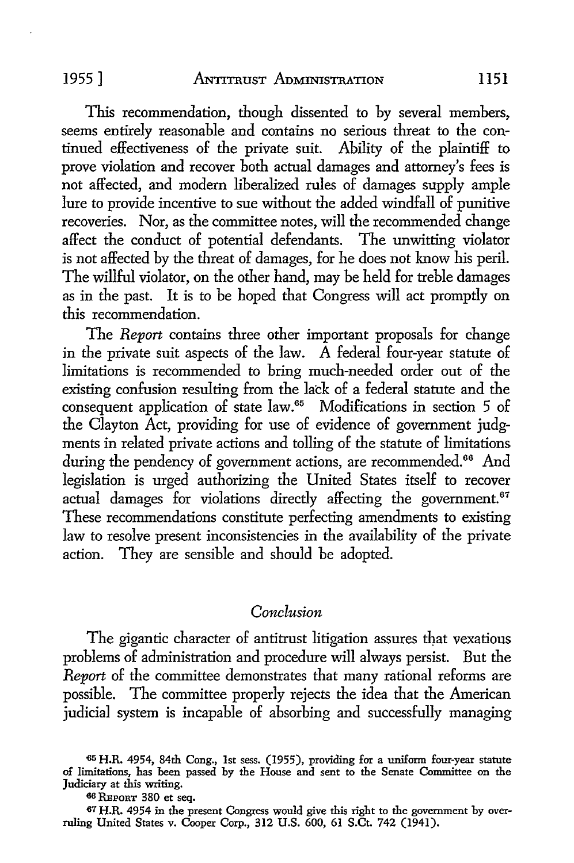#### ]955] .ANr:rrnusT ADMINISTRATION **ll51**

This recommendation, though dissented to by several members, seems entirely reasonable and contains no serious threat to the continued effectiveness of the private suit. Ability of the plaintiff to prove violation and recover both actual damages and attorney's fees is not affected, and modem liberalized rules of damages supply ample lure to provide incentive to sue without the added windfall of punitive recoveries. Nor, as the committee notes, will the recommended change affect the conduct of potential defendants. The unwitting violator is not affected by the threat of damages, for he does not know his peril. The willful violator, on the other hand, may be held for treble damages as in the past. It is to be hoped that Congress will act promptly on this recommendation.

The *Report* contains three other important proposals for change in the private suit aspects of the law. A federal four-year statute of limitations is recommended to bring much-needed order out of the existing confusion resulting from the lack of a federal statute and the consequent application of state law.<sup>65</sup> Modifications in section 5 of the Clayton Act, providing for use of evidence of government judgments in related private actions and tolling of the statute of limitations during the pendency of government actions, are recommended.<sup>66</sup> And legislation is urged authorizing the United States itself to recover actual damages for violations directly affecting the government.<sup>67</sup> These recommendations constitute perfecting amendments to existing law to resolve present inconsistencies in the availability of the private action. They are sensible and should be adopted.

## *Conclusion*

The gigantic character of antitrust litigation assures that vexatious problems of administration and procedure will always persist. But the *Report* of the committee demonstrates that many rational reforms are possible. The committee properly rejects the idea that the American judicial system is incapable of absorbing and successfully managing

<sup>65</sup> **H.R.** 4954, 84th Cong., 1st sess. (1955), providing for a uniform four-year statute of limitations, has been passed by the House and sent to the Senate Committee on the Judiciary at this writing.

<sup>66</sup> REPORT 380 et seq.

<sup>67</sup> H.R. 4954 in the present Congress would give this right to the government by overruling United States v. Cooper Corp., 312 U.S. 600, 61 S.Ct. 742 (1941).